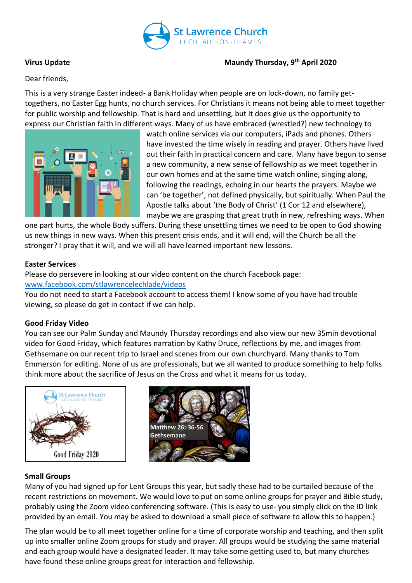

# **Virus Update Maundy Thursday, 9th April 2020**

Dear friends,

This is a very strange Easter indeed- a Bank Holiday when people are on lock-down, no family gettogethers, no Easter Egg hunts, no church services. For Christians it means not being able to meet together for public worship and fellowship. That is hard and unsettling, but it does give us the opportunity to express our Christian faith in different ways. Many of us have embraced (wrestled?) new technology to



watch online services via our computers, iPads and phones. Others have invested the time wisely in reading and prayer. Others have lived out their faith in practical concern and care. Many have begun to sense a new community, a new sense of fellowship as we meet together in our own homes and at the same time watch online, singing along, following the readings, echoing in our hearts the prayers. Maybe we can 'be together', not defined physically, but spiritually. When Paul the Apostle talks about 'the Body of Christ' (1 Cor 12 and elsewhere), maybe we are grasping that great truth in new, refreshing ways. When

one part hurts, the whole Body suffers. During these unsettling times we need to be open to God showing us new things in new ways. When this present crisis ends, and it will end, will the Church be all the stronger? I pray that it will, and we will all have learned important new lessons.

## **Easter Services**

Please do persevere in looking at our video content on the church Facebook page: [www.facebook.com/stlawrencelechlade/videos](http://www.facebook.com/stlawrencelechlade/videos)

You do not need to start a Facebook account to access them! I know some of you have had trouble viewing, so please do get in contact if we can help.

# **Good Friday Video**

You can see our Palm Sunday and Maundy Thursday recordings and also view our new 35min devotional video for Good Friday, which features narration by Kathy Druce, reflections by me, and images from Gethsemane on our recent trip to Israel and scenes from our own churchyard. Many thanks to Tom Emmerson for editing. None of us are professionals, but we all wanted to produce something to help folks think more about the sacrifice of Jesus on the Cross and what it means for us today.





### **Small Groups**

Many of you had signed up for Lent Groups this year, but sadly these had to be curtailed because of the recent restrictions on movement. We would love to put on some online groups for prayer and Bible study, probably using the Zoom video conferencing software. (This is easy to use- you simply click on the ID link provided by an email. You may be asked to download a small piece of software to allow this to happen.)

The plan would be to all meet together online for a time of corporate worship and teaching, and then split up into smaller online Zoom groups for study and prayer. All groups would be studying the same material and each group would have a designated leader. It may take some getting used to, but many churches have found these online groups great for interaction and fellowship.